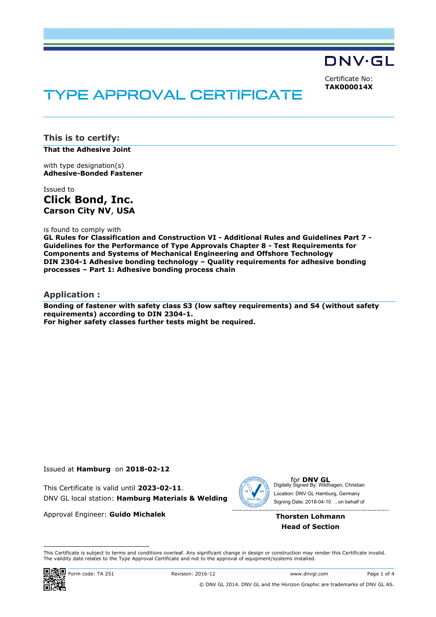DNV·GL

Certificate No: **TAK000014X**

# **TYPE APPROVAL CERTIFICATE**

**This is to certify:**

**That the Adhesive Joint**

with type designation(s) **Adhesive-Bonded Fastener**

Issued to **Click Bond, Inc. Carson City NV**, **USA**

is found to comply with

**GL Rules for Classification and Construction VI - Additional Rules and Guidelines Part 7 - Guidelines for the Performance of Type Approvals Chapter 8 - Test Requirements for Components and Systems of Mechanical Engineering and Offshore Technology DIN 2304-1 Adhesive bonding technology – Quality requirements for adhesive bonding processes – Part 1: Adhesive bonding process chain**

#### **Application :**

**Bonding of fastener with safety class S3 (low saftey requirements) and S4 (without safety requirements) according to DIN 2304-1. For higher safety classes further tests might be required.**

#### Issued at **Hamburg** on **2018-02-12**

This Certificate is valid until **2023-02-11**. DNV GL local station: **Hamburg Materials & Welding**

Approval Engineer: **Guido Michalek**



for **DNV GL**<br>Digitally Signed By: Wildhagen, Christian Signing Date: 2018-04-10 , on behalf ofLocation: DNV GL Hamburg, Germany

#### **Thorsten Lohmann Head of Section**

 This Certificate is subject to terms and conditions overleaf. Any significant change in design or construction may render this Certificate invalid. This Certificate is valid until 2023-02-11.<br>
DNV GL local station: **Hamburg Materials & Welding**<br>
Approval Engineer: **Guido Michalek**<br>
Thorsten Lohmann<br>
Head of Section<br>
Thorsten Lohmann<br>
Head of Section<br>
This Certificate

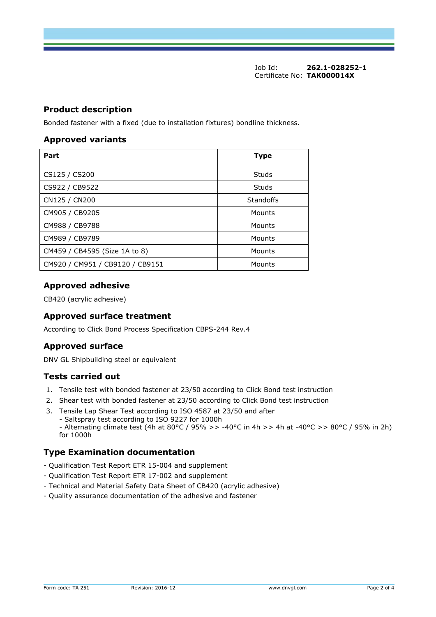Job Id: **262.1-028252-1** Certificate No: **TAK000014X**

#### **Product description**

Bonded fastener with a fixed (due to installation fixtures) bondline thickness.

#### **Approved variants**

| Part                            | <b>Type</b> |
|---------------------------------|-------------|
| CS125 / CS200                   | Studs       |
| CS922 / CB9522                  | Studs       |
| CN125 / CN200                   | Standoffs   |
| CM905 / CB9205                  | Mounts      |
| CM988 / CB9788                  | Mounts      |
| CM989 / CB9789                  | Mounts      |
| CM459 / CB4595 (Size 1A to 8)   | Mounts      |
| CM920 / CM951 / CB9120 / CB9151 | Mounts      |

# **Approved adhesive**

CB420 (acrylic adhesive)

#### **Approved surface treatment**

According to Click Bond Process Specification CBPS-244 Rev.4

# **Approved surface**

DNV GL Shipbuilding steel or equivalent

# **Tests carried out**

- 1. Tensile test with bonded fastener at 23/50 according to Click Bond test instruction
- 2. Shear test with bonded fastener at 23/50 according to Click Bond test instruction
- 3. Tensile Lap Shear Test according to ISO 4587 at 23/50 and after - Saltspray test according to ISO 9227 for 1000h - Alternating climate test (4h at 80°C / 95% >> -40°C in 4h >> 4h at -40°C >> 80°C / 95% in 2h) for 1000h

# **Type Examination documentation**

- Qualification Test Report ETR 15-004 and supplement
- Qualification Test Report ETR 17-002 and supplement
- Technical and Material Safety Data Sheet of CB420 (acrylic adhesive)
- Quality assurance documentation of the adhesive and fastener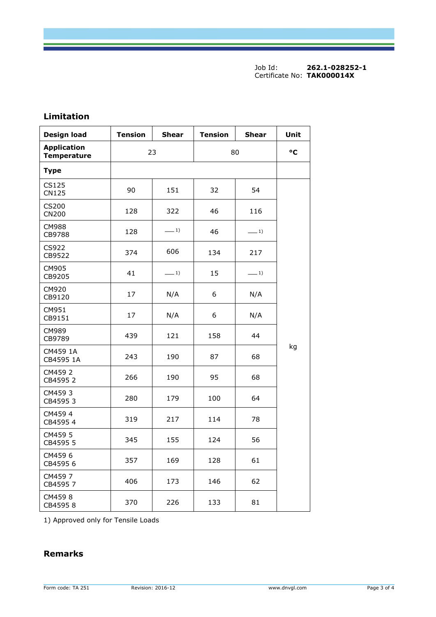Job Id: **262.1-028252-1** Certificate No: **TAK000014X**

| <b>Design load</b>                       | <b>Tension</b> | <b>Shear</b> | <b>Tension</b> | Shear | Unit |
|------------------------------------------|----------------|--------------|----------------|-------|------|
| <b>Application</b><br><b>Temperature</b> | 23             |              | 80             |       | °C   |
| <b>Type</b>                              |                |              |                |       |      |
| CS125<br><b>CN125</b>                    | 90             | 151          | 32             | 54    |      |
| CS200<br><b>CN200</b>                    | 128            | 322          | 46             | 116   |      |
| <b>CM988</b><br>CB9788                   | 128            | $-1)$        | 46             | $-1)$ |      |
| CS922<br>CB9522                          | 374            | 606          | 134            | 217   |      |
| CM905<br>CB9205                          | 41             | $-1)$        | 15             | $-1)$ |      |
| CM920<br>CB9120                          | 17             | N/A          | 6              | N/A   |      |
| CM951<br>CB9151                          | 17             | N/A          | 6              | N/A   |      |
| CM989<br>CB9789                          | 439            | 121          | 158            | 44    |      |
| CM459 1A<br>CB4595 1A                    | 243            | 190          | 87             | 68    | kg   |
| CM459 2<br>CB4595 2                      | 266            | 190          | 95             | 68    |      |
| CM4593<br>CB45953                        | 280            | 179          | 100            | 64    |      |
| CM459 4<br>CB4595 4                      | 319            | 217          | 114            | 78    |      |
| CM459 5<br>CB4595 5                      | 345            | 155          | 124            | 56    |      |
| CM459 6<br>CB4595 6                      | 357            | 169          | 128            | 61    |      |
| CM459 7<br>CB45957                       | 406            | 173          | 146            | 62    |      |
| CM4598<br>CB45958                        | 370            | 226          | 133            | 81    |      |

# **Limitation**

1) Approved only for Tensile Loads

# **Remarks**